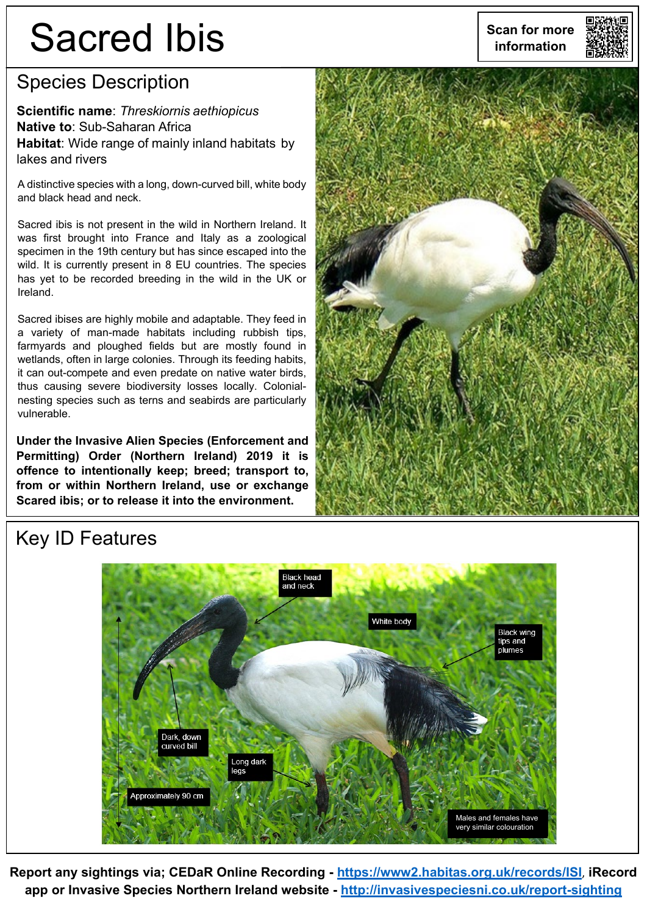# Sacred Ibis **information**

#### Species Description

**Scientific name**: *Threskiornis aethiopicus* **Native to**: Sub-Saharan Africa **Habitat**: Wide range of mainly inland habitats by lakes and rivers

A distinctive species with a long, down-curved bill, white body and black head and neck.

Sacred ibis is not present in the wild in Northern Ireland. It was first brought into France and Italy as a zoological specimen in the 19th century but has since escaped into the wild. It is currently present in 8 EU countries. The species has yet to be recorded breeding in the wild in the UK or Ireland.

Sacred ibises are highly mobile and adaptable. They feed in a variety of man-made habitats including rubbish tips, farmyards and ploughed fields but are mostly found in wetlands, often in large colonies. Through its feeding habits, it can out-compete and even predate on native water birds, thus causing severe biodiversity losses locally. Colonialnesting species such as terns and seabirds are particularly vulnerable.

**Under the Invasive Alien Species (Enforcement and Permitting) Order (Northern Ireland) 2019 it is offence to intentionally keep; breed; transport to, from or within Northern Ireland, use or exchange Scared ibis; or to release it into the environment.**



#### Key ID Features



**Report any sightings via; CEDaR Online Recording - <https://www2.habitas.org.uk/records/ISI>**, **iRecord app or Invasive Species Northern Ireland website - <http://invasivespeciesni.co.uk/report-sighting>**